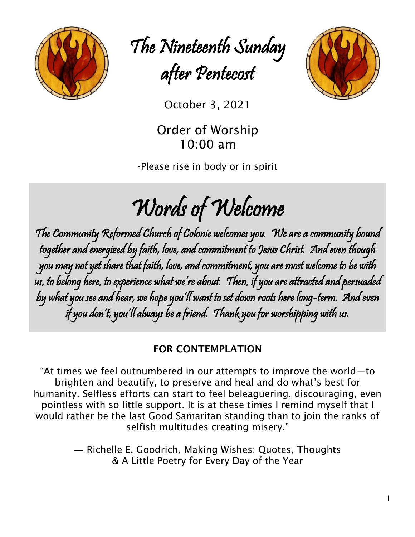

The Nineteenth Sunday after Pentecost



October 3, <sup>2021</sup>

Order of Worship 10:00 am

-Please rise in body or in spirit

# Words of Welcome

The Community Reformed Church of Colonie welcomes you. We are a community bound together and energized by faith, love, and commitment to Jesus Christ. And even though you may not yet share that faith, love, and commitment, you are most welcome to be with us, to belong here, to experience what we're about. Then, if you are attracted and persuaded by what you see and hear, we hope you'll want to set down roots here long-term. And even if you don't, you'll always be a friend. Thank you for worshipping with us.

# FOR CONTEMPLATION

"At times we feel outnumbered in our attempts to improve the world—to brighten and beautify, to preserve and heal and do what's best for humanity. Selfless efforts can start to feel beleaguering, discouraging, even pointless with so little support. It is at these times I remind myself that I would rather be the last Good Samaritan standing than to join the ranks of selfish multitudes creating misery."

> ― Richelle E. Goodrich, Making Wishes: Quotes, Thoughts & A Little Poetry for Every Day of the Year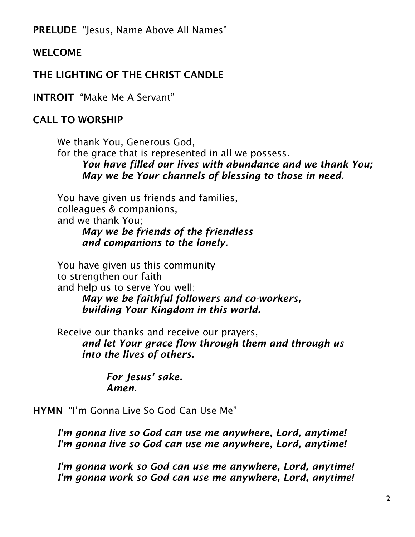PRELUDE "Jesus, Name Above All Names"

# WELCOME

# THE LIGHTING OF THE CHRIST CANDLE

INTROIT "Make Me A Servant"

# CALL TO WORSHIP

We thank You, Generous God, for the grace that is represented in all we possess. *You have filled our lives with abundance and we thank You; May we be Your channels of blessing to those in need.*

You have given us friends and families, colleagues & companions, and we thank You; *May we be friends of the friendless and companions to the lonely.*

You have given us this community to strengthen our faith and help us to serve You well;

*May we be faithful followers and co-workers, building Your Kingdom in this world.*

Receive our thanks and receive our prayers, *and let Your grace flow through them and through us into the lives of others.*

> *For Jesus' sake. Amen.*

HYMN "I'm Gonna Live So God Can Use Me"

*I'm gonna live so God can use me anywhere, Lord, anytime! I'm gonna live so God can use me anywhere, Lord, anytime!*

*I'm gonna work so God can use me anywhere, Lord, anytime! I'm gonna work so God can use me anywhere, Lord, anytime!*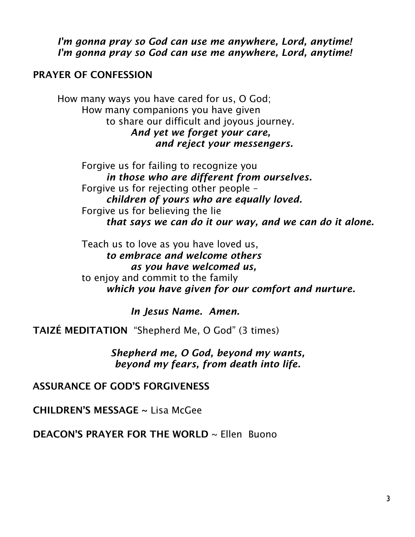*I'm gonna pray so God can use me anywhere, Lord, anytime! I'm gonna pray so God can use me anywhere, Lord, anytime!*

#### PRAYER OF CONFESSION

How many ways you have cared for us, O God; How many companions you have given to share our difficult and joyous journey. *And yet we forget your care, and reject your messengers.*

> Forgive us for failing to recognize you *in those who are different from ourselves.* Forgive us for rejecting other people – *children of yours who are equally loved.* Forgive us for believing the lie *that says we can do it our way, and we can do it alone.*

Teach us to love as you have loved us, *to embrace and welcome others as you have welcomed us,* to enjoy and commit to the family *which you have given for our comfort and nurture.*

*In Jesus Name. Amen.*

TAIZÉ MEDITATION "Shepherd Me, O God" (3 times)

*Shepherd me, O God, beyond my wants, beyond my fears, from death into life.*

ASSURANCE OF GOD'S FORGIVENESS

CHILDREN'S MESSAGE ~ Lisa McGee

DEACON'S PRAYER FOR THE WORLD ~ Ellen Buono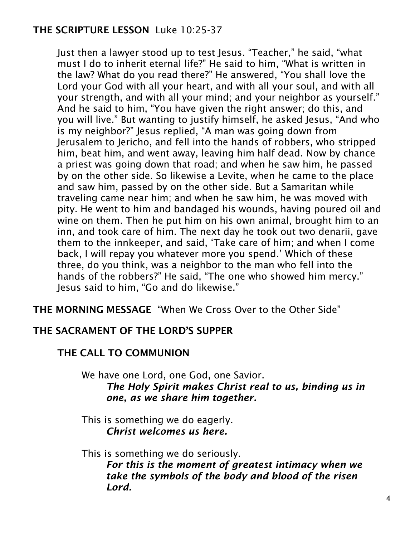# THE SCRIPTURE LESSON Luke 10:25-37

Just then a lawyer stood up to test Jesus. "Teacher," he said, "what must I do to inherit eternal life?" He said to him, "What is written in the law? What do you read there?" He answered, "You shall love the Lord your God with all your heart, and with all your soul, and with all your strength, and with all your mind; and your neighbor as yourself." And he said to him, "You have given the right answer; do this, and you will live." But wanting to justify himself, he asked Jesus, "And who is my neighbor?" Jesus replied, "A man was going down from Jerusalem to Jericho, and fell into the hands of robbers, who stripped him, beat him, and went away, leaving him half dead. Now by chance a priest was going down that road; and when he saw him, he passed by on the other side. So likewise a Levite, when he came to the place and saw him, passed by on the other side. But a Samaritan while traveling came near him; and when he saw him, he was moved with pity. He went to him and bandaged his wounds, having poured oil and wine on them. Then he put him on his own animal, brought him to an inn, and took care of him. The next day he took out two denarii, gave them to the innkeeper, and said, 'Take care of him; and when I come back, I will repay you whatever more you spend.' Which of these three, do you think, was a neighbor to the man who fell into the hands of the robbers?" He said, "The one who showed him mercy." Jesus said to him, "Go and do likewise."

THE MORNING MESSAGE "When We Cross Over to the Other Side"

# THE SACRAMENT OF THE LORD'S SUPPER

#### THE CALL TO COMMUNION

We have one Lord, one God, one Savior. *The Holy Spirit makes Christ real to us, binding us in one, as we share him together.*

This is something we do eagerly. *Christ welcomes us here.*

This is something we do seriously.

*For this is the moment of greatest intimacy when we take the symbols of the body and blood of the risen Lord.*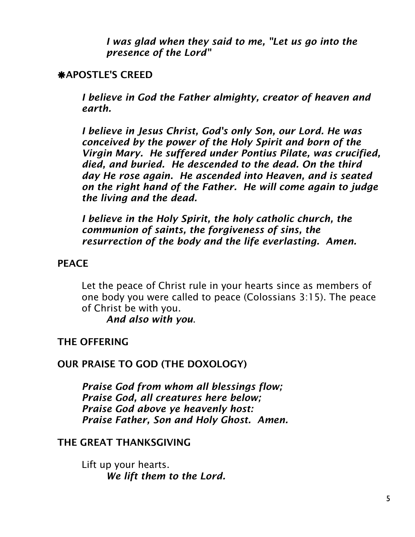*I was glad when they said to me, "Let us go into the presence of the Lord"*

### APOSTLE'S CREED

*I believe in God the Father almighty, creator of heaven and earth.*

*I believe in Jesus Christ, God's only Son, our Lord. He was conceived by the power of the Holy Spirit and born of the Virgin Mary. He suffered under Pontius Pilate, was crucified, died, and buried. He descended to the dead. On the third day He rose again. He ascended into Heaven, and is seated on the right hand of the Father. He will come again to judge the living and the dead.*

*I believe in the Holy Spirit, the holy catholic church, the communion of saints, the forgiveness of sins, the resurrection of the body and the life everlasting. Amen.*

#### **PFACE**

Let the peace of Christ rule in your hearts since as members of one body you were called to peace (Colossians 3:15). The peace of Christ be with you.

*And also with you*.

# THE OFFERING

#### OUR PRAISE TO GOD (THE DOXOLOGY)

*Praise God from whom all blessings flow; Praise God, all creatures here below; Praise God above ye heavenly host: Praise Father, Son and Holy Ghost. Amen.*

#### THE GREAT THANKSGIVING

Lift up your hearts. *We lift them to the Lord.*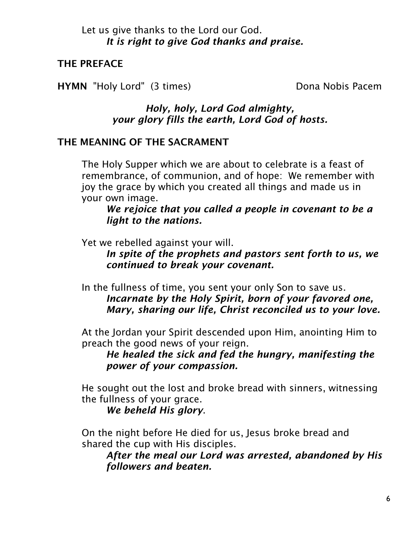## Let us give thanks to the Lord our God. *It is right to give God thanks and praise.*

# THE PREFACE

HYMN "Holy Lord" (3 times) Dona Nobis Pacem

# *Holy, holy, Lord God almighty, your glory fills the earth, Lord God of hosts.*

# THE MEANING OF THE SACRAMENT

The Holy Supper which we are about to celebrate is a feast of remembrance, of communion, and of hope: We remember with joy the grace by which you created all things and made us in your own image.

*We rejoice that you called a people in covenant to be a light to the nations.*

Yet we rebelled against your will.

*In spite of the prophets and pastors sent forth to us, we continued to break your covenant.*

In the fullness of time, you sent your only Son to save us. *Incarnate by the Holy Spirit, born of your favored one, Mary, sharing our life, Christ reconciled us to your love.*

At the Jordan your Spirit descended upon Him, anointing Him to preach the good news of your reign.

*He healed the sick and fed the hungry, manifesting the power of your compassion.*

He sought out the lost and broke bread with sinners, witnessing the fullness of your grace.

*We beheld His glory*.

On the night before He died for us, Jesus broke bread and shared the cup with His disciples.

*After the meal our Lord was arrested, abandoned by His followers and beaten.*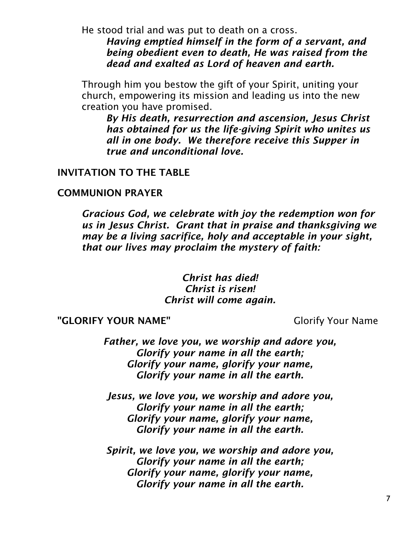He stood trial and was put to death on a cross.

*Having emptied himself in the form of a servant, and being obedient even to death, He was raised from the dead and exalted as Lord of heaven and earth.*

Through him you bestow the gift of your Spirit, uniting your church, empowering its mission and leading us into the new creation you have promised.

*By His death, resurrection and ascension, Jesus Christ has obtained for us the life-giving Spirit who unites us all in one body. We therefore receive this Supper in true and unconditional love.*

#### INVITATION TO THE TABLE

#### COMMUNION PRAYER

*Gracious God, we celebrate with joy the redemption won for us in Jesus Christ. Grant that in praise and thanksgiving we may be a living sacrifice, holy and acceptable in your sight, that our lives may proclaim the mystery of faith:*

> *Christ has died! Christ is risen! Christ will come again.*

"GLORIFY YOUR NAME" Glorify Your Name

*Father, we love you, we worship and adore you, Glorify your name in all the earth; Glorify your name, glorify your name, Glorify your name in all the earth.*

*Jesus, we love you, we worship and adore you, Glorify your name in all the earth; Glorify your name, glorify your name, Glorify your name in all the earth.*

*Spirit, we love you, we worship and adore you, Glorify your name in all the earth; Glorify your name, glorify your name, Glorify your name in all the earth.*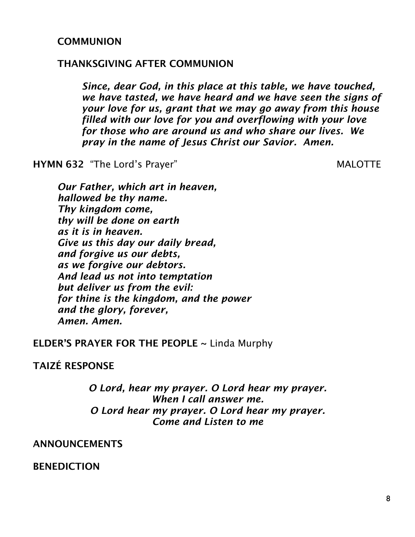#### **COMMUNION**

#### THANKSGIVING AFTER COMMUNION

*Since, dear God, in this place at this table, we have touched, we have tasted, we have heard and we have seen the signs of your love for us, grant that we may go away from this house filled with our love for you and overflowing with your love for those who are around us and who share our lives. We pray in the name of Jesus Christ our Savior. Amen.*

HYMN 632 "The Lord's Prayer" MALOTTE

*Our Father, which art in heaven, hallowed be thy name. Thy kingdom come, thy will be done on earth as it is in heaven. Give us this day our daily bread, and forgive us our debts, as we forgive our debtors. And lead us not into temptation but deliver us from the evil: for thine is the kingdom, and the power and the glory, forever, Amen. Amen.*

ELDER'S PRAYER FOR THE PEOPLE  $\sim$  Linda Murphy

## TAIZÉ RESPONSE

*O Lord, hear my prayer. O Lord hear my prayer. When I call answer me. O Lord hear my prayer. O Lord hear my prayer. Come and Listen to me*

#### ANNOUNCEMENTS

BENEDICTION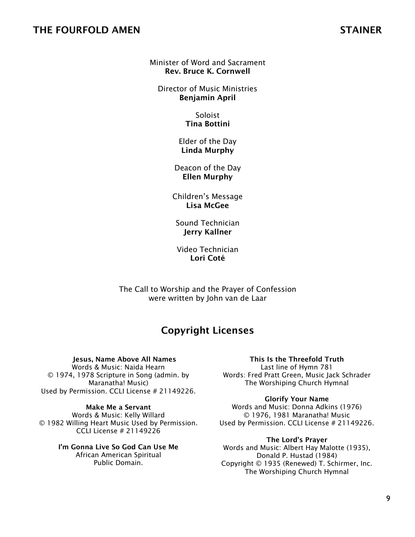#### THE FOURFOLD AMEN STAINER

#### Minister of Word and Sacrament Rev. Bruce K. Cornwell

Director of Music Ministries Benjamin April

> Soloist Tina Bottini

Elder of the Day Linda Murphy

Deacon of the Day Ellen Murphy

Children's Message Lisa McGee

Sound Technician Jerry Kallner

Video Technician Lori Coté

The Call to Worship and the Prayer of Confession were written by John van de Laar

# Copyright Licenses

Jesus, Name Above All Names Words & Music: Naida Hearn

© 1974, 1978 Scripture in Song (admin. by Maranatha! Music) Used by Permission. CCLI License # 21149226.

Make Me a Servant Words & Music: Kelly Willard © 1982 Willing Heart Music Used by Permission. CCLI License # 21149226

> I'm Gonna Live So God Can Use Me African American Spiritual Public Domain.

#### This Is the Threefold Truth

Last line of Hymn 781 Words: Fred Pratt Green, Music Jack Schrader The Worshiping Church Hymnal

Glorify Your Name

Words and Music: Donna Adkins (1976) © 1976, 1981 Maranatha! Music Used by Permission. CCLI License # 21149226.

The Lord's Prayer

Words and Music: Albert Hay Malotte (1935), Donald P. Hustad (1984) Copyright © 1935 (Renewed) T. Schirmer, Inc. The Worshiping Church Hymnal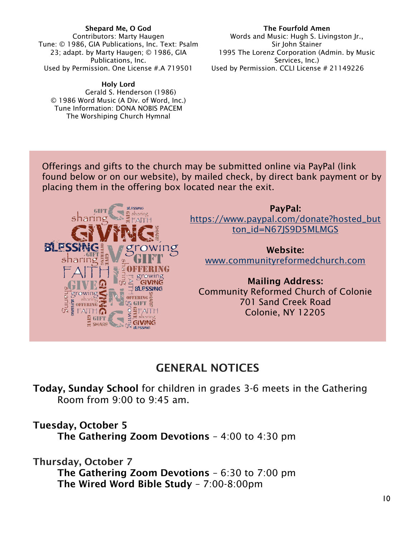#### Shepard Me, O God Contributors: Marty Haugen Tune: © 1986, GIA Publications, Inc. Text: Psalm 23; adapt. by Marty Haugen; © 1986, GIA Publications, Inc. Used by Permission. One License #.A 719501

Holy Lord Gerald S. Henderson (1986) © 1986 Word Music (A Div. of Word, Inc.) Tune Information: DONA NOBIS PACEM The Worshiping Church Hymnal

The Fourfold Amen Words and Music: Hugh S. Livingston Jr., Sir John Stainer 1995 The Lorenz Corporation (Admin. by Music Services, Inc.) Used by Permission. CCLI License # 21149226

Offerings and gifts to the church may be submitted online via PayPal (link found below or on our website), by mailed check, by direct bank payment or by placing them in the offering box located near the exit.



PayPal: [https://www.paypal.com/donate?hosted\\_but](https://www.paypal.com/donate?hosted_button_id=N67JS9D5MLMGS) [ton\\_id=N67JS9D5MLMGS](https://www.paypal.com/donate?hosted_button_id=N67JS9D5MLMGS)

Website: [www.communityreformedchurch.com](http://www.communityreformedchurch.com/)

Mailing Address: Community Reformed Church of Colonie 701 Sand Creek Road Colonie, NY 12205

# GENERAL NOTICES

Today, Sunday School for children in grades 3-6 meets in the Gathering Room from 9:00 to 9:45 am.

Tuesday, October 5 The Gathering Zoom Devotions – 4:00 to 4:30 pm

Thursday, October 7

The Gathering Zoom Devotions – 6:30 to 7:00 pm The Wired Word Bible Study – 7:00-8:00pm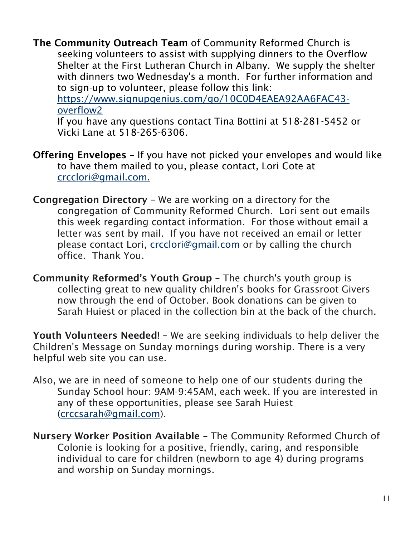The Community Outreach Team of Community Reformed Church is seeking volunteers to assist with supplying dinners to the Overflow Shelter at the First Lutheran Church in Albany. We supply the shelter with dinners two Wednesday's a month. For further information and to sign-up to volunteer, please follow this link: [https://www.signupgenius.com/go/10C0D4EAEA92AA6FAC43](https://www.signupgenius.com/go/10C0D4EAEA92AA6FAC43-overflow2) [overflow2](https://www.signupgenius.com/go/10C0D4EAEA92AA6FAC43-overflow2)

If you have any questions contact Tina Bottini at 518-281-5452 or Vicki Lane at 518-265-6306.

- Offering Envelopes If you have not picked your envelopes and would like to have them mailed to you, please contact, Lori Cote at [crcclori@gmail.com.](mailto:crcclori@gmail.com)
- Congregation Directory We are working on a directory for the congregation of Community Reformed Church. Lori sent out emails this week regarding contact information. For those without email a letter was sent by mail. If you have not received an email or letter please contact Lori, [crcclori@gmail.com](mailto:crcclori@gmail.com) or by calling the church office. Thank You.
- Community Reformed's Youth Group The church's youth group is collecting great to new quality children's books for Grassroot Givers now through the end of October. Book donations can be given to Sarah Huiest or placed in the collection bin at the back of the church.

Youth Volunteers Needed! – We are seeking individuals to help deliver the Children's Message on Sunday mornings during worship. There is a very helpful web site you can use.

- Also, we are in need of someone to help one of our students during the Sunday School hour: 9AM-9:45AM, each week. If you are interested in any of these opportunities, please see Sarah Huiest [\(crccsarah@gmail.com\)](mailto:crccsarah@gmail.com).
- Nursery Worker Position Available The Community Reformed Church of Colonie is looking for a positive, friendly, caring, and responsible individual to care for children (newborn to age 4) during programs and worship on Sunday mornings.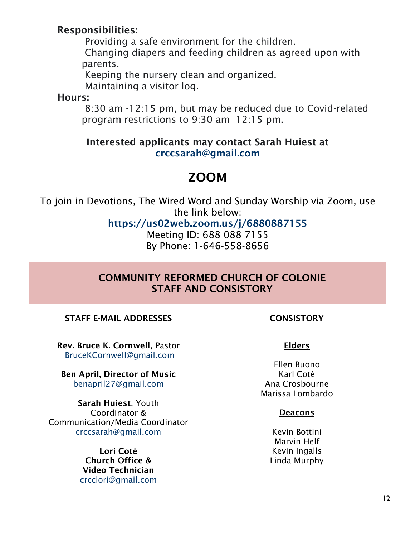# Responsibilities:

Providing a safe environment for the children.

Changing diapers and feeding children as agreed upon with parents.

Keeping the nursery clean and organized. Maintaining a visitor log.

Hours:

8:30 am -12:15 pm, but may be reduced due to Covid-related program restrictions to 9:30 am -12:15 pm.

# Interested applicants may contact Sarah Huiest at [crccsarah@gmail.com](mailto:crccsarah@gmail.com)

# ZOOM

To join in Devotions, The Wired Word and Sunday Worship via Zoom, use the link below:

<https://us02web.zoom.us/j/6880887155>

Meeting ID: 688 088 7155 By Phone: 1-646-558-8656

# COMMUNITY REFORMED CHURCH OF COLONIE STAFF AND CONSISTORY

#### STAFF E-MAIL ADDRESSES CONSISTORY

Rev. Bruce K. Cornwell, Pastor [BruceKCornwell@gmail.com](mailto:BruceKCornwell@gmail.com)

Ben April, Director of Music benapril27@gmail.com

Sarah Huiest, Youth Coordinator & Communication/Media Coordinator [crccsarah@gmail.com](mailto:crccsarah@gmail.com)

> Lori Coté Church Office & Video Technician [crcclori@gmail.com](mailto:crcclori@gmail.com)

#### Elders

Ellen Buono Karl Coté Ana Crosbourne Marissa Lombardo

#### Deacons

Kevin Bottini Marvin Helf Kevin Ingalls Linda Murphy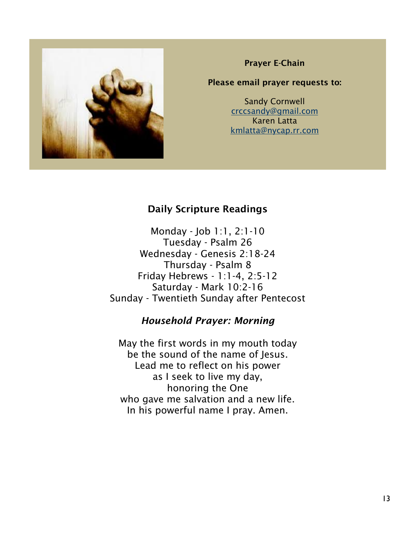

#### Prayer E-Chain

#### Please email prayer requests to:

Sandy Cornwell [crccsandy@gmail.com](mailto:crccsandy@gmail.com) Karen Latta [kmlatta@nycap.rr.com](mailto:kmlatta@nycap.rr.com)

## Daily Scripture Readings

Monday - Job 1:1, 2:1-10 Tuesday - Psalm 26 Wednesday - Genesis 2:18-24 Thursday - Psalm 8 Friday Hebrews - 1:1-4, 2:5-12 Saturday - Mark 10:2-16 Sunday - Twentieth Sunday after Pentecost

#### *Household Prayer: Morning*

May the first words in my mouth today be the sound of the name of Jesus. Lead me to reflect on his power as I seek to live my day, honoring the One who gave me salvation and a new life. In his powerful name I pray. Amen.